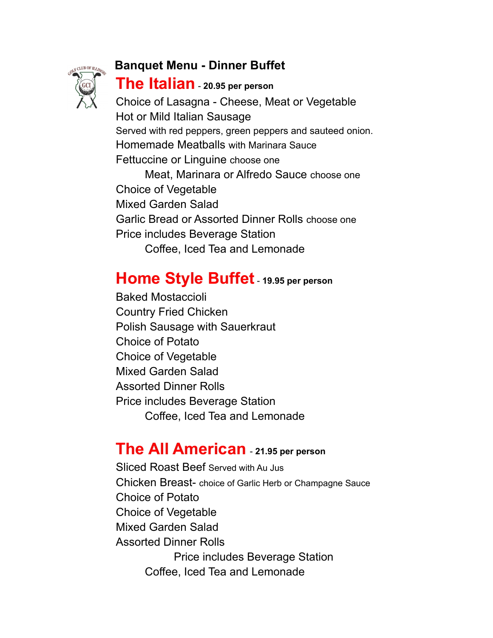#### **Banquet Menu - Dinner Buffet**



### **The Italian** - **20.95 per person**

Choice of Lasagna - Cheese, Meat or Vegetable Hot or Mild Italian Sausage Served with red peppers, green peppers and sauteed onion. Homemade Meatballs with Marinara Sauce Fettuccine or Linguine choose one Meat, Marinara or Alfredo Sauce choose one Choice of Vegetable Mixed Garden Salad Garlic Bread or Assorted Dinner Rolls choose one Price includes Beverage Station Coffee, Iced Tea and Lemonade

# **Home Style Buffet**- **19.95 per person**

Baked Mostaccioli Country Fried Chicken Polish Sausage with Sauerkraut Choice of Potato Choice of Vegetable Mixed Garden Salad Assorted Dinner Rolls Price includes Beverage Station Coffee, Iced Tea and Lemonade

## **The All American** - **21.95 per person**

Sliced Roast Beef Served with Au Jus Chicken Breast- choice of Garlic Herb or Champagne Sauce Choice of Potato Choice of Vegetable Mixed Garden Salad Assorted Dinner Rolls Price includes Beverage Station Coffee, Iced Tea and Lemonade